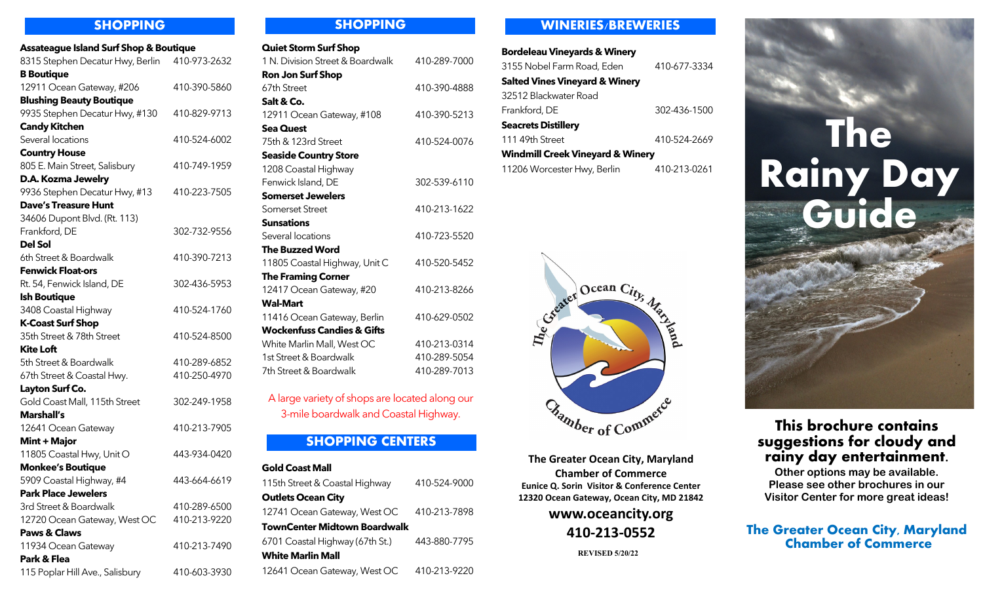| <b>Assateague Island Surf Shop &amp; Boutique</b> |              |  |
|---------------------------------------------------|--------------|--|
| 8315 Stephen Decatur Hwy, Berlin 410-973-2632     |              |  |
| <b>B</b> Boutique                                 |              |  |
| 12911 Ocean Gateway, #206                         | 410-390-5860 |  |
| <b>Blushing Beauty Boutique</b>                   |              |  |
| 9935 Stephen Decatur Hwy, #130                    | 410-829-9713 |  |
| <b>Candy Kitchen</b>                              |              |  |
| Several locations                                 | 410-524-6002 |  |
| <b>Country House</b>                              |              |  |
| 805 E. Main Street, Salisbury                     | 410-749-1959 |  |
| D.A. Kozma Jewelry                                |              |  |
| 9936 Stephen Decatur Hwy, #13                     | 410-223-7505 |  |
| <b>Dave's Treasure Hunt</b>                       |              |  |
| 34606 Dupont Blvd. (Rt. 113)                      |              |  |
| Frankford, DE                                     | 302-732-9556 |  |
| <b>Del Sol</b>                                    |              |  |
| 6th Street & Boardwalk                            | 410-390-7213 |  |
| <b>Fenwick Float-ors</b>                          |              |  |
| Rt. 54, Fenwick Island, DE                        | 302-436-5953 |  |
| <b>Ish Boutique</b>                               |              |  |
| 3408 Coastal Highway                              | 410-524-1760 |  |
| <b>K-Coast Surf Shop</b>                          |              |  |
| 35th Street & 78th Street                         | 410-524-8500 |  |
| Kite Loft                                         |              |  |
| 5th Street & Boardwalk                            | 410-289-6852 |  |
| 67th Street & Coastal Hwy.                        | 410-250-4970 |  |
| Layton Surf Co.                                   |              |  |
| Gold Coast Mall, 115th Street                     | 302-249-1958 |  |
| <b>Marshall's</b>                                 |              |  |
| 12641 Ocean Gateway                               | 410-213-7905 |  |
| Mint + Major                                      |              |  |
| 11805 Coastal Hwy, Unit O                         | 443-934-0420 |  |
| <b>Monkee's Boutique</b>                          |              |  |
| 5909 Coastal Highway, #4                          | 443-664-6619 |  |
| <b>Park Place Jewelers</b>                        |              |  |
| 3rd Street & Boardwalk                            | 410-289-6500 |  |
| 12720 Ocean Gateway, West OC                      | 410-213-9220 |  |
| <b>Paws &amp; Claws</b>                           |              |  |
| 11934 Ocean Gateway                               | 410-213-7490 |  |
| Park & Flea                                       |              |  |
| 115 Poplar Hill Ave., Salisbury                   | 410-603-3930 |  |

# **SHOPPING SHOPPING**

| <b>Quiet Storm Surf Shop</b>          |              |
|---------------------------------------|--------------|
| 1 N. Division Street & Boardwalk      | 410-289-7000 |
| <b>Ron Jon Surf Shop</b>              |              |
| 67th Street                           | 410-390-4888 |
| Salt & Co.                            |              |
| 12911 Ocean Gateway, #108             | 410-390-5213 |
| Sea Quest                             |              |
| 75th & 123rd Street                   | 410-524-0076 |
| <b>Seaside Country Store</b>          |              |
| 1208 Coastal Highway                  |              |
| Fenwick Island, DE                    | 302-539-6110 |
| <b>Somerset Jewelers</b>              |              |
| Somerset Street                       | 410-213-1622 |
| Sunsations                            |              |
| Several locations                     | 410-723-5520 |
| <b>The Buzzed Word</b>                |              |
| 11805 Coastal Highway, Unit C         | 410-520-5452 |
| <b>The Framing Corner</b>             |              |
| 12417 Ocean Gateway, #20              | 410-213-8266 |
| Wal-Mart                              |              |
| 11416 Ocean Gateway, Berlin           | 410-629-0502 |
| <b>Wockenfuss Candies &amp; Gifts</b> |              |
| White Marlin Mall, West OC            | 410-213-0314 |
| 1st Street & Boardwalk                | 410-289-5054 |
| 7th Street & Boardwalk                | 410-289-7013 |

A large variety of shops are located along our 3-mile boardwalk and Coastal Highway.

# **SHOPPING CENTERS**

### **Gold Coast Mall**

| 115th Street & Coastal Highway      | 410-524-9000 |
|-------------------------------------|--------------|
| <b>Outlets Ocean City</b>           |              |
| 12741 Ocean Gateway, West OC        | 410-213-7898 |
| <b>TownCenter Midtown Boardwalk</b> |              |
| 6701 Coastal Highway (67th St.)     | 443-880-7795 |
| <b>White Marlin Mall</b>            |              |
| 12641 Ocean Gateway, West OC        | 410-213-9220 |

# **WINERIES/BREWERIES**

| <b>Bordeleau Vineyards &amp; Winery</b>     |              |
|---------------------------------------------|--------------|
| 3155 Nobel Farm Road, Eden                  | 410-677-3334 |
| <b>Salted Vines Vineyard &amp; Winery</b>   |              |
| 32512 Blackwater Road                       |              |
| Frankford, DE                               | 302-436-1500 |
| <b>Seacrets Distillery</b>                  |              |
| 111 49th Street                             | 410-524-2669 |
| <b>Windmill Creek Vineyard &amp; Winery</b> |              |
| 11206 Worcester Hwy, Berlin                 | 410-213-0261 |



**The Greater Ocean City, Maryland Chamber of Commerce Eunice Q. Sorin Visitor & Conference Center 12320 Ocean Gateway, Ocean City, MD 21842**

# **www.oceancity.org 410-213-0552**

**REVISED 5/20/22**



# **This brochure contains suggestions for cloudy and rainy day entertainment.**

**Other options may be available. Please see other brochures in our Visitor Center for more great ideas!**

# **The Greater Ocean City, Maryland Chamber of Commerce**